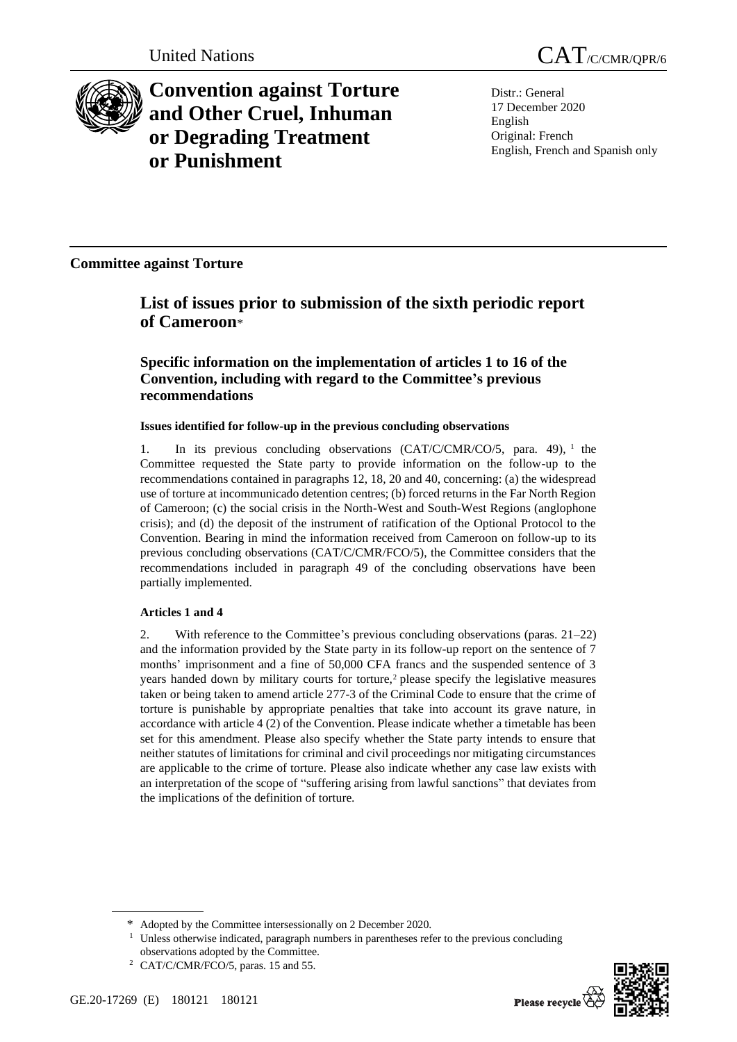

**Convention against Torture and Other Cruel, Inhuman or Degrading Treatment or Punishment**

Distr.: General 17 December 2020 English Original: French English, French and Spanish only

**Committee against Torture**

# **List of issues prior to submission of the sixth periodic report of Cameroon**\*

## **Specific information on the implementation of articles 1 to 16 of the Convention, including with regard to the Committee's previous recommendations**

## **Issues identified for follow-up in the previous concluding observations**

1. In its previous concluding observations (CAT/C/CMR/CO/5, para. 49), <sup>1</sup> the Committee requested the State party to provide information on the follow-up to the recommendations contained in paragraphs 12, 18, 20 and 40, concerning: (a) the widespread use of torture at incommunicado detention centres; (b) forced returns in the Far North Region of Cameroon; (c) the social crisis in the North-West and South-West Regions (anglophone crisis); and (d) the deposit of the instrument of ratification of the Optional Protocol to the Convention. Bearing in mind the information received from Cameroon on follow-up to its previous concluding observations (CAT/C/CMR/FCO/5), the Committee considers that the recommendations included in paragraph 49 of the concluding observations have been partially implemented.

## **Articles 1 and 4**

2. With reference to the Committee's previous concluding observations (paras. 21–22) and the information provided by the State party in its follow-up report on the sentence of 7 months' imprisonment and a fine of 50,000 CFA francs and the suspended sentence of 3 years handed down by military courts for torture, $\frac{2}{3}$  please specify the legislative measures taken or being taken to amend article 277-3 of the Criminal Code to ensure that the crime of torture is punishable by appropriate penalties that take into account its grave nature, in accordance with article 4 (2) of the Convention. Please indicate whether a timetable has been set for this amendment. Please also specify whether the State party intends to ensure that neither statutes of limitations for criminal and civil proceedings nor mitigating circumstances are applicable to the crime of torture. Please also indicate whether any case law exists with an interpretation of the scope of "suffering arising from lawful sanctions" that deviates from the implications of the definition of torture.



<sup>\*</sup> Adopted by the Committee intersessionally on 2 December 2020.

<sup>&</sup>lt;sup>1</sup> Unless otherwise indicated, paragraph numbers in parentheses refer to the previous concluding observations adopted by the Committee.

<sup>&</sup>lt;sup>2</sup> CAT/C/CMR/FCO/5, paras. 15 and 55.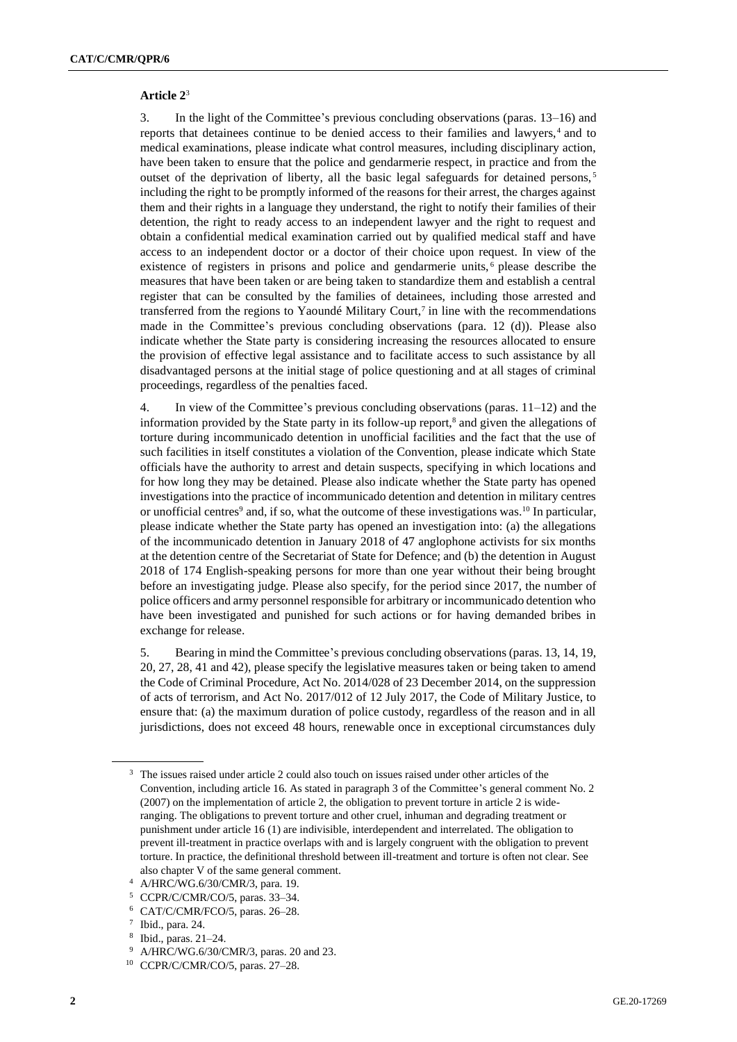#### **Article 2**<sup>3</sup>

3. In the light of the Committee's previous concluding observations (paras. 13–16) and reports that detainees continue to be denied access to their families and lawyers,<sup>4</sup> and to medical examinations, please indicate what control measures, including disciplinary action, have been taken to ensure that the police and gendarmerie respect, in practice and from the outset of the deprivation of liberty, all the basic legal safeguards for detained persons,<sup>5</sup> including the right to be promptly informed of the reasons for their arrest, the charges against them and their rights in a language they understand, the right to notify their families of their detention, the right to ready access to an independent lawyer and the right to request and obtain a confidential medical examination carried out by qualified medical staff and have access to an independent doctor or a doctor of their choice upon request. In view of the existence of registers in prisons and police and gendarmerie units,<sup>6</sup> please describe the measures that have been taken or are being taken to standardize them and establish a central register that can be consulted by the families of detainees, including those arrested and transferred from the regions to Yaoundé Military Court,<sup>7</sup> in line with the recommendations made in the Committee's previous concluding observations (para. 12 (d)). Please also indicate whether the State party is considering increasing the resources allocated to ensure the provision of effective legal assistance and to facilitate access to such assistance by all disadvantaged persons at the initial stage of police questioning and at all stages of criminal proceedings, regardless of the penalties faced.

4. In view of the Committee's previous concluding observations (paras. 11–12) and the information provided by the State party in its follow-up report, $\delta$  and given the allegations of torture during incommunicado detention in unofficial facilities and the fact that the use of such facilities in itself constitutes a violation of the Convention, please indicate which State officials have the authority to arrest and detain suspects, specifying in which locations and for how long they may be detained. Please also indicate whether the State party has opened investigations into the practice of incommunicado detention and detention in military centres or unofficial centres<sup>9</sup> and, if so, what the outcome of these investigations was.<sup>10</sup> In particular, please indicate whether the State party has opened an investigation into: (a) the allegations of the incommunicado detention in January 2018 of 47 anglophone activists for six months at the detention centre of the Secretariat of State for Defence; and (b) the detention in August 2018 of 174 English-speaking persons for more than one year without their being brought before an investigating judge. Please also specify, for the period since 2017, the number of police officers and army personnel responsible for arbitrary or incommunicado detention who have been investigated and punished for such actions or for having demanded bribes in exchange for release.

5. Bearing in mind the Committee's previous concluding observations (paras. 13, 14, 19, 20, 27, 28, 41 and 42), please specify the legislative measures taken or being taken to amend the Code of Criminal Procedure, Act No. 2014/028 of 23 December 2014, on the suppression of acts of terrorism, and Act No. 2017/012 of 12 July 2017, the Code of Military Justice, to ensure that: (a) the maximum duration of police custody, regardless of the reason and in all jurisdictions, does not exceed 48 hours, renewable once in exceptional circumstances duly

<sup>&</sup>lt;sup>3</sup> The issues raised under article 2 could also touch on issues raised under other articles of the Convention, including article 16. As stated in paragraph 3 of the Committee's general comment No. 2 (2007) on the implementation of article 2, the obligation to prevent torture in article 2 is wideranging. The obligations to prevent torture and other cruel, inhuman and degrading treatment or punishment under article 16 (1) are indivisible, interdependent and interrelated. The obligation to prevent ill-treatment in practice overlaps with and is largely congruent with the obligation to prevent torture. In practice, the definitional threshold between ill-treatment and torture is often not clear. See also chapter V of the same general comment.

<sup>4</sup> A/HRC/WG.6/30/CMR/3, para. 19.

<sup>5</sup> CCPR/C/CMR/CO/5, paras. 33–34.

<sup>6</sup> CAT/C/CMR/FCO/5, paras. 26–28.

<sup>7</sup> Ibid., para. 24.

<sup>8</sup> Ibid., paras. 21–24.

<sup>9</sup> A/HRC/WG.6/30/CMR/3, paras. 20 and 23.

<sup>10</sup> CCPR/C/CMR/CO/5, paras. 27–28.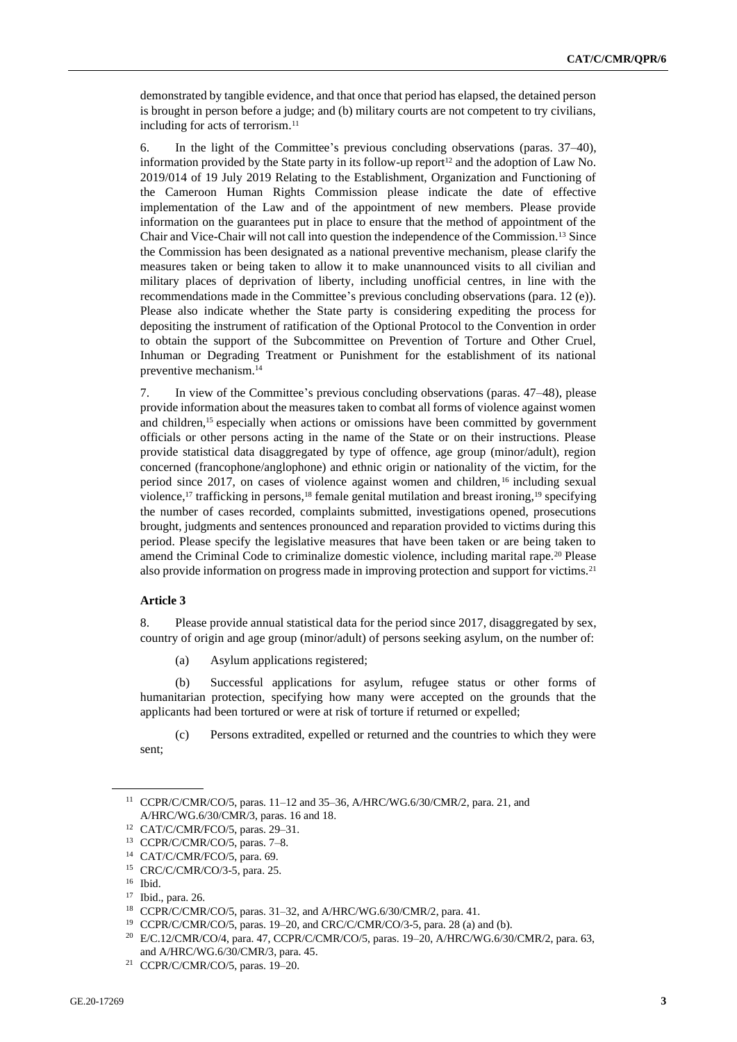demonstrated by tangible evidence, and that once that period has elapsed, the detained person is brought in person before a judge; and (b) military courts are not competent to try civilians, including for acts of terrorism.<sup>11</sup>

6. In the light of the Committee's previous concluding observations (paras. 37–40), information provided by the State party in its follow-up report<sup>12</sup> and the adoption of Law No. 2019/014 of 19 July 2019 Relating to the Establishment, Organization and Functioning of the Cameroon Human Rights Commission please indicate the date of effective implementation of the Law and of the appointment of new members. Please provide information on the guarantees put in place to ensure that the method of appointment of the Chair and Vice-Chair will not call into question the independence of the Commission.<sup>13</sup> Since the Commission has been designated as a national preventive mechanism, please clarify the measures taken or being taken to allow it to make unannounced visits to all civilian and military places of deprivation of liberty, including unofficial centres, in line with the recommendations made in the Committee's previous concluding observations (para. 12 (e)). Please also indicate whether the State party is considering expediting the process for depositing the instrument of ratification of the Optional Protocol to the Convention in order to obtain the support of the Subcommittee on Prevention of Torture and Other Cruel, Inhuman or Degrading Treatment or Punishment for the establishment of its national preventive mechanism.<sup>14</sup>

7. In view of the Committee's previous concluding observations (paras. 47–48), please provide information about the measures taken to combat all forms of violence against women and children,<sup>15</sup> especially when actions or omissions have been committed by government officials or other persons acting in the name of the State or on their instructions. Please provide statistical data disaggregated by type of offence, age group (minor/adult), region concerned (francophone/anglophone) and ethnic origin or nationality of the victim, for the period since 2017, on cases of violence against women and children, <sup>16</sup> including sexual violence,<sup>17</sup> trafficking in persons,<sup>18</sup> female genital mutilation and breast ironing,<sup>19</sup> specifying the number of cases recorded, complaints submitted, investigations opened, prosecutions brought, judgments and sentences pronounced and reparation provided to victims during this period. Please specify the legislative measures that have been taken or are being taken to amend the Criminal Code to criminalize domestic violence, including marital rape.<sup>20</sup> Please also provide information on progress made in improving protection and support for victims.<sup>21</sup>

#### **Article 3**

8. Please provide annual statistical data for the period since 2017, disaggregated by sex, country of origin and age group (minor/adult) of persons seeking asylum, on the number of:

(a) Asylum applications registered;

(b) Successful applications for asylum, refugee status or other forms of humanitarian protection, specifying how many were accepted on the grounds that the applicants had been tortured or were at risk of torture if returned or expelled;

(c) Persons extradited, expelled or returned and the countries to which they were sent;

<sup>11</sup> CCPR/C/CMR/CO/5, paras. 11–12 and 35–36, A/HRC/WG.6/30/CMR/2, para. 21, and A/HRC/WG.6/30/CMR/3, paras. 16 and 18.

<sup>12</sup> CAT/C/CMR/FCO/5, paras. 29–31.

<sup>13</sup> CCPR/C/CMR/CO/5, paras. 7–8.

<sup>14</sup> CAT/C/CMR/FCO/5, para. 69.

<sup>15</sup> CRC/C/CMR/CO/3-5, para. 25.

<sup>16</sup> Ibid.

<sup>17</sup> Ibid., para. 26.

<sup>18</sup> CCPR/C/CMR/CO/5, paras. 31–32, and A/HRC/WG.6/30/CMR/2, para. 41.

<sup>19</sup> CCPR/C/CMR/CO/5, paras. 19–20, and CRC/C/CMR/CO/3-5, para. 28 (a) and (b).

<sup>20</sup> E/C.12/CMR/CO/4, para. 47, CCPR/C/CMR/CO/5, paras. 19–20, A/HRC/WG.6/30/CMR/2, para. 63, and A/HRC/WG.6/30/CMR/3, para. 45.

<sup>21</sup> CCPR/C/CMR/CO/5, paras. 19–20.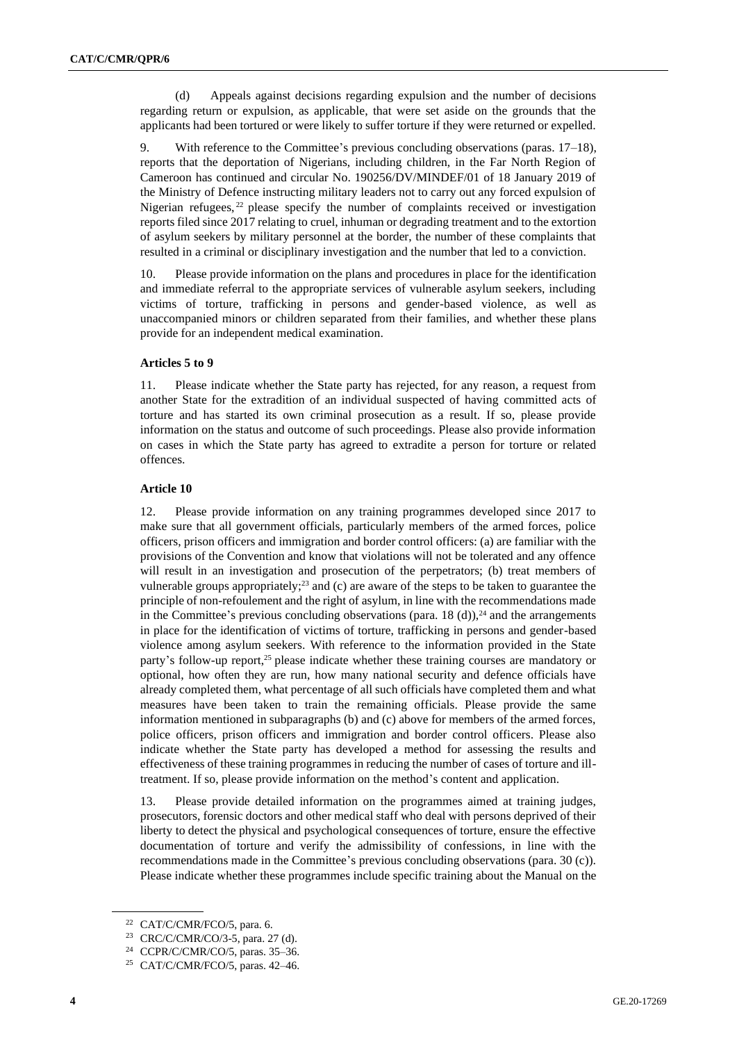(d) Appeals against decisions regarding expulsion and the number of decisions regarding return or expulsion, as applicable, that were set aside on the grounds that the applicants had been tortured or were likely to suffer torture if they were returned or expelled.

9. With reference to the Committee's previous concluding observations (paras. 17–18), reports that the deportation of Nigerians, including children, in the Far North Region of Cameroon has continued and circular No. 190256/DV/MINDEF/01 of 18 January 2019 of the Ministry of Defence instructing military leaders not to carry out any forced expulsion of Nigerian refugees,<sup>22</sup> please specify the number of complaints received or investigation reports filed since 2017 relating to cruel, inhuman or degrading treatment and to the extortion of asylum seekers by military personnel at the border, the number of these complaints that resulted in a criminal or disciplinary investigation and the number that led to a conviction.

10. Please provide information on the plans and procedures in place for the identification and immediate referral to the appropriate services of vulnerable asylum seekers, including victims of torture, trafficking in persons and gender-based violence, as well as unaccompanied minors or children separated from their families, and whether these plans provide for an independent medical examination.

#### **Articles 5 to 9**

11. Please indicate whether the State party has rejected, for any reason, a request from another State for the extradition of an individual suspected of having committed acts of torture and has started its own criminal prosecution as a result. If so, please provide information on the status and outcome of such proceedings. Please also provide information on cases in which the State party has agreed to extradite a person for torture or related offences.

#### **Article 10**

12. Please provide information on any training programmes developed since 2017 to make sure that all government officials, particularly members of the armed forces, police officers, prison officers and immigration and border control officers: (a) are familiar with the provisions of the Convention and know that violations will not be tolerated and any offence will result in an investigation and prosecution of the perpetrators; (b) treat members of vulnerable groups appropriately; $^{23}$  and (c) are aware of the steps to be taken to guarantee the principle of non-refoulement and the right of asylum, in line with the recommendations made in the Committee's previous concluding observations (para. 18 (d)), $^{24}$  and the arrangements in place for the identification of victims of torture, trafficking in persons and gender-based violence among asylum seekers. With reference to the information provided in the State party's follow-up report,<sup>25</sup> please indicate whether these training courses are mandatory or optional, how often they are run, how many national security and defence officials have already completed them, what percentage of all such officials have completed them and what measures have been taken to train the remaining officials. Please provide the same information mentioned in subparagraphs (b) and (c) above for members of the armed forces, police officers, prison officers and immigration and border control officers. Please also indicate whether the State party has developed a method for assessing the results and effectiveness of these training programmes in reducing the number of cases of torture and illtreatment. If so, please provide information on the method's content and application.

13. Please provide detailed information on the programmes aimed at training judges, prosecutors, forensic doctors and other medical staff who deal with persons deprived of their liberty to detect the physical and psychological consequences of torture, ensure the effective documentation of torture and verify the admissibility of confessions, in line with the recommendations made in the Committee's previous concluding observations (para. 30 (c)). Please indicate whether these programmes include specific training about the Manual on the

<sup>22</sup> CAT/C/CMR/FCO/5, para. 6.

<sup>23</sup> CRC/C/CMR/CO/3-5, para. 27 (d).

<sup>24</sup> CCPR/C/CMR/CO/5, paras. 35–36.

<sup>25</sup> CAT/C/CMR/FCO/5, paras. 42–46.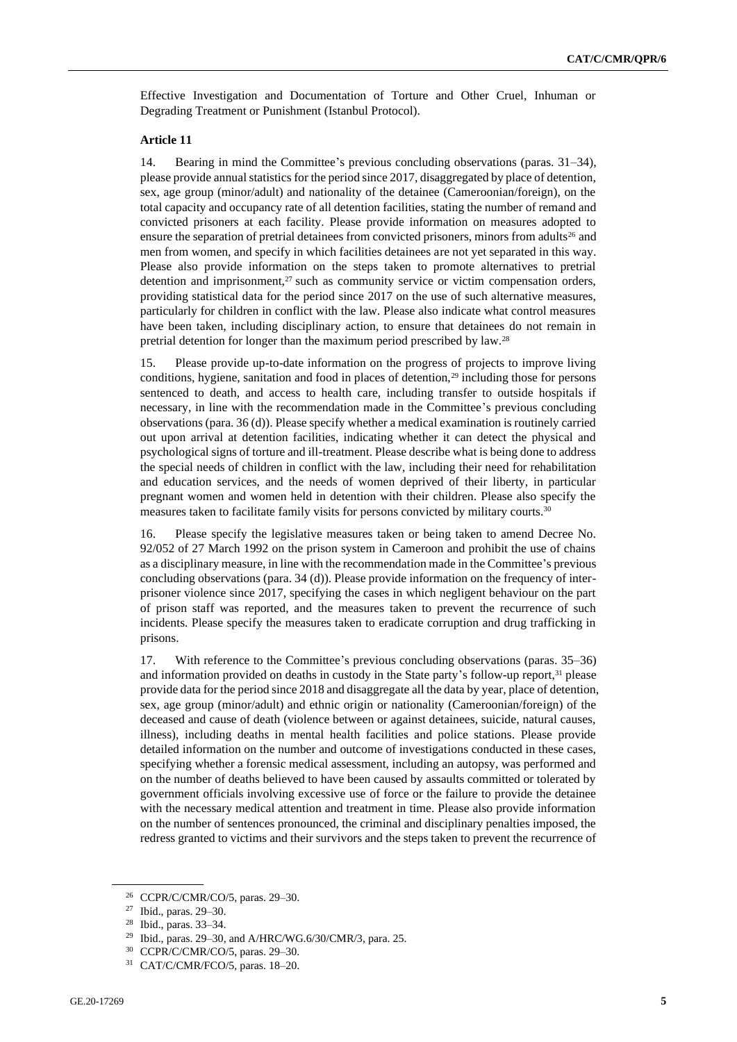Effective Investigation and Documentation of Torture and Other Cruel, Inhuman or Degrading Treatment or Punishment (Istanbul Protocol).

#### **Article 11**

14. Bearing in mind the Committee's previous concluding observations (paras. 31–34), please provide annual statistics for the period since 2017, disaggregated by place of detention, sex, age group (minor/adult) and nationality of the detainee (Cameroonian/foreign), on the total capacity and occupancy rate of all detention facilities, stating the number of remand and convicted prisoners at each facility. Please provide information on measures adopted to ensure the separation of pretrial detainees from convicted prisoners, minors from adults<sup>26</sup> and men from women, and specify in which facilities detainees are not yet separated in this way. Please also provide information on the steps taken to promote alternatives to pretrial detention and imprisonment, $27$  such as community service or victim compensation orders, providing statistical data for the period since 2017 on the use of such alternative measures, particularly for children in conflict with the law. Please also indicate what control measures have been taken, including disciplinary action, to ensure that detainees do not remain in pretrial detention for longer than the maximum period prescribed by law.<sup>28</sup>

15. Please provide up-to-date information on the progress of projects to improve living conditions, hygiene, sanitation and food in places of detention, $29$  including those for persons sentenced to death, and access to health care, including transfer to outside hospitals if necessary, in line with the recommendation made in the Committee's previous concluding observations (para. 36 (d)). Please specify whether a medical examination is routinely carried out upon arrival at detention facilities, indicating whether it can detect the physical and psychological signs of torture and ill-treatment. Please describe what is being done to address the special needs of children in conflict with the law, including their need for rehabilitation and education services, and the needs of women deprived of their liberty, in particular pregnant women and women held in detention with their children. Please also specify the measures taken to facilitate family visits for persons convicted by military courts.<sup>30</sup>

16. Please specify the legislative measures taken or being taken to amend Decree No. 92/052 of 27 March 1992 on the prison system in Cameroon and prohibit the use of chains as a disciplinary measure, in line with the recommendation made in the Committee's previous concluding observations (para. 34 (d)). Please provide information on the frequency of interprisoner violence since 2017, specifying the cases in which negligent behaviour on the part of prison staff was reported, and the measures taken to prevent the recurrence of such incidents. Please specify the measures taken to eradicate corruption and drug trafficking in prisons.

17. With reference to the Committee's previous concluding observations (paras. 35–36) and information provided on deaths in custody in the State party's follow-up report,<sup>31</sup> please provide data for the period since 2018 and disaggregate all the data by year, place of detention, sex, age group (minor/adult) and ethnic origin or nationality (Cameroonian/foreign) of the deceased and cause of death (violence between or against detainees, suicide, natural causes, illness), including deaths in mental health facilities and police stations. Please provide detailed information on the number and outcome of investigations conducted in these cases, specifying whether a forensic medical assessment, including an autopsy, was performed and on the number of deaths believed to have been caused by assaults committed or tolerated by government officials involving excessive use of force or the failure to provide the detainee with the necessary medical attention and treatment in time. Please also provide information on the number of sentences pronounced, the criminal and disciplinary penalties imposed, the redress granted to victims and their survivors and the steps taken to prevent the recurrence of

CCPR/C/CMR/CO/5, paras. 29-30.

<sup>27</sup> Ibid., paras. 29–30.

<sup>28</sup> Ibid., paras. 33–34.

<sup>29</sup> Ibid., paras. 29–30, and A/HRC/WG.6/30/CMR/3, para. 25.

<sup>30</sup> CCPR/C/CMR/CO/5, paras. 29–30.

<sup>31</sup> CAT/C/CMR/FCO/5, paras. 18–20.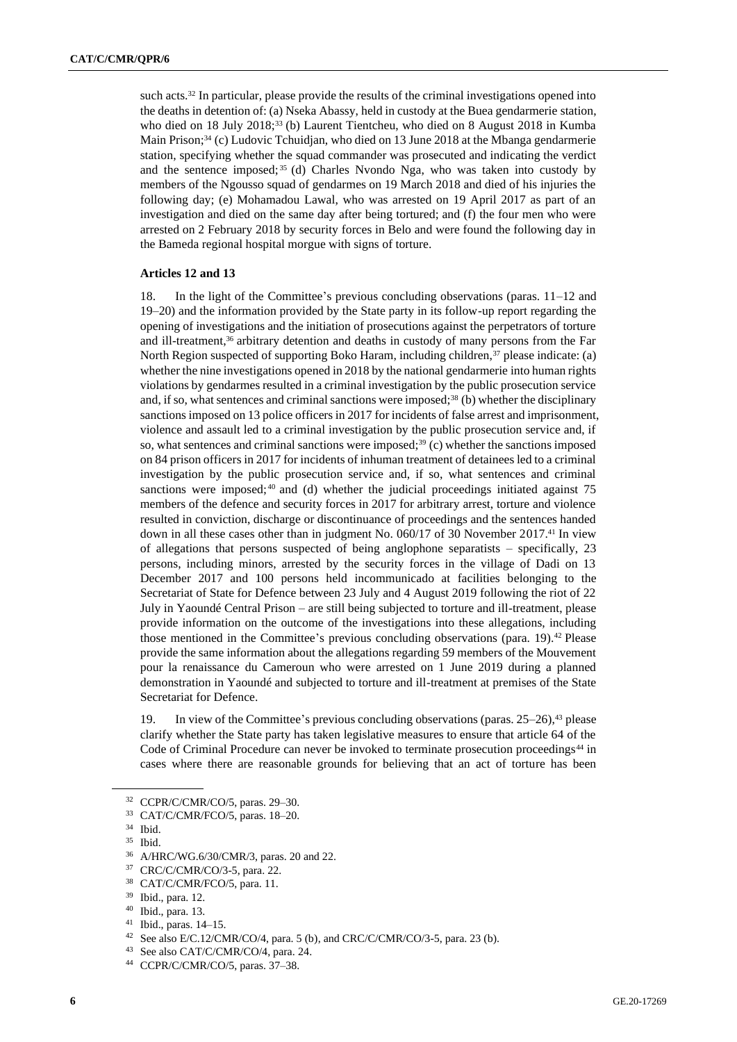such acts.<sup>32</sup> In particular, please provide the results of the criminal investigations opened into the deaths in detention of: (a) Nseka Abassy, held in custody at the Buea gendarmerie station, who died on 18 July 2018;<sup>33</sup> (b) Laurent Tientcheu, who died on 8 August 2018 in Kumba Main Prison;<sup>34</sup> (c) Ludovic Tchuidjan, who died on 13 June 2018 at the Mbanga gendarmerie station, specifying whether the squad commander was prosecuted and indicating the verdict and the sentence imposed; <sup>35</sup> (d) Charles Nvondo Nga, who was taken into custody by members of the Ngousso squad of gendarmes on 19 March 2018 and died of his injuries the following day; (e) Mohamadou Lawal, who was arrested on 19 April 2017 as part of an investigation and died on the same day after being tortured; and (f) the four men who were arrested on 2 February 2018 by security forces in Belo and were found the following day in the Bameda regional hospital morgue with signs of torture.

#### **Articles 12 and 13**

18. In the light of the Committee's previous concluding observations (paras. 11–12 and 19–20) and the information provided by the State party in its follow-up report regarding the opening of investigations and the initiation of prosecutions against the perpetrators of torture and ill-treatment,<sup>36</sup> arbitrary detention and deaths in custody of many persons from the Far North Region suspected of supporting Boko Haram, including children, $37$  please indicate: (a) whether the nine investigations opened in 2018 by the national gendarmerie into human rights violations by gendarmes resulted in a criminal investigation by the public prosecution service and, if so, what sentences and criminal sanctions were imposed;<sup>38</sup> (b) whether the disciplinary sanctions imposed on 13 police officers in 2017 for incidents of false arrest and imprisonment, violence and assault led to a criminal investigation by the public prosecution service and, if so, what sentences and criminal sanctions were imposed;<sup>39</sup> (c) whether the sanctions imposed on 84 prison officers in 2017 for incidents of inhuman treatment of detainees led to a criminal investigation by the public prosecution service and, if so, what sentences and criminal sanctions were imposed; $40$  and (d) whether the judicial proceedings initiated against 75 members of the defence and security forces in 2017 for arbitrary arrest, torture and violence resulted in conviction, discharge or discontinuance of proceedings and the sentences handed down in all these cases other than in judgment No. 060/17 of 30 November 2017.<sup>41</sup> In view of allegations that persons suspected of being anglophone separatists – specifically, 23 persons, including minors, arrested by the security forces in the village of Dadi on 13 December 2017 and 100 persons held incommunicado at facilities belonging to the Secretariat of State for Defence between 23 July and 4 August 2019 following the riot of 22 July in Yaoundé Central Prison – are still being subjected to torture and ill-treatment, please provide information on the outcome of the investigations into these allegations, including those mentioned in the Committee's previous concluding observations (para. 19).<sup>42</sup> Please provide the same information about the allegations regarding 59 members of the Mouvement pour la renaissance du Cameroun who were arrested on 1 June 2019 during a planned demonstration in Yaoundé and subjected to torture and ill-treatment at premises of the State Secretariat for Defence.

19. In view of the Committee's previous concluding observations (paras. 25–26),<sup>43</sup> please clarify whether the State party has taken legislative measures to ensure that article 64 of the Code of Criminal Procedure can never be invoked to terminate prosecution proceedings<sup>44</sup> in cases where there are reasonable grounds for believing that an act of torture has been

<sup>32</sup> CCPR/C/CMR/CO/5, paras. 29–30.

<sup>33</sup> CAT/C/CMR/FCO/5, paras. 18–20.

<sup>34</sup> Ibid.

 $\frac{35}{36}$  Ibid.

<sup>36</sup> A/HRC/WG.6/30/CMR/3, paras. 20 and 22.

<sup>37</sup> CRC/C/CMR/CO/3-5, para. 22.

<sup>38</sup> CAT/C/CMR/FCO/5, para. 11.

<sup>39</sup> Ibid., para. 12.

<sup>40</sup> Ibid., para. 13.

<sup>41</sup> Ibid., paras. 14–15.

<sup>42</sup> See also E/C.12/CMR/CO/4, para. 5 (b), and CRC/C/CMR/CO/3-5, para. 23 (b).

<sup>43</sup> See also CAT/C/CMR/CO/4, para. 24.

<sup>44</sup> CCPR/C/CMR/CO/5, paras. 37–38.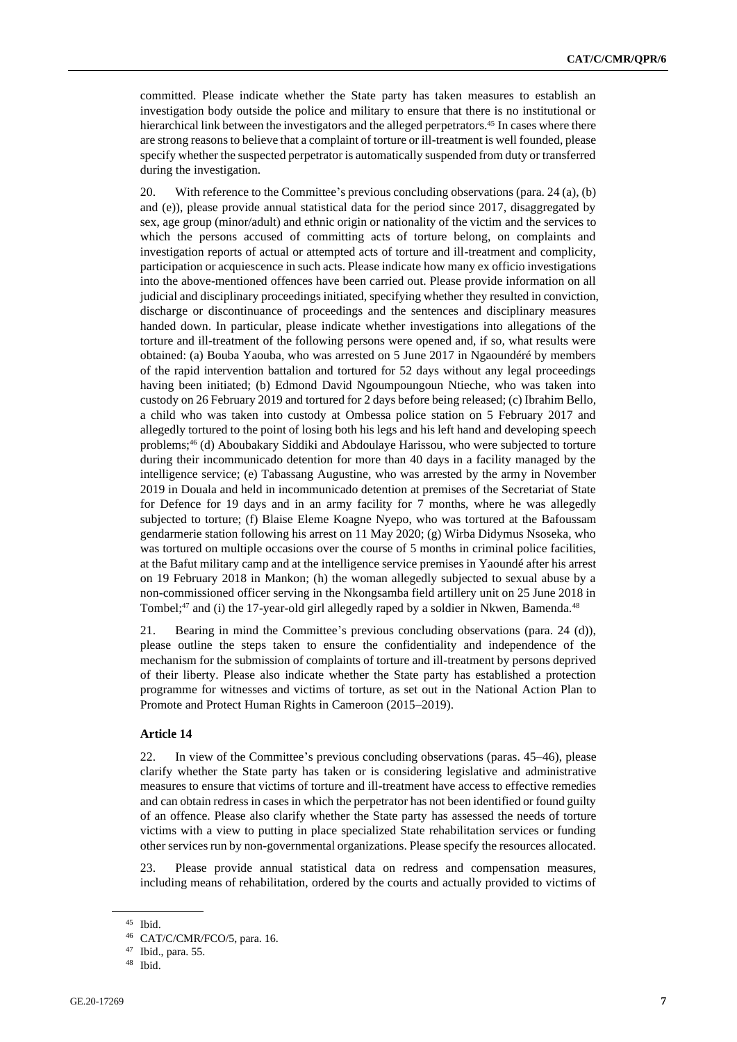committed. Please indicate whether the State party has taken measures to establish an investigation body outside the police and military to ensure that there is no institutional or hierarchical link between the investigators and the alleged perpetrators.<sup>45</sup> In cases where there are strong reasons to believe that a complaint of torture or ill-treatment is well founded, please specify whether the suspected perpetrator is automatically suspended from duty or transferred during the investigation.

20. With reference to the Committee's previous concluding observations (para. 24 (a), (b) and (e)), please provide annual statistical data for the period since 2017, disaggregated by sex, age group (minor/adult) and ethnic origin or nationality of the victim and the services to which the persons accused of committing acts of torture belong, on complaints and investigation reports of actual or attempted acts of torture and ill-treatment and complicity, participation or acquiescence in such acts. Please indicate how many ex officio investigations into the above-mentioned offences have been carried out. Please provide information on all judicial and disciplinary proceedings initiated, specifying whether they resulted in conviction, discharge or discontinuance of proceedings and the sentences and disciplinary measures handed down. In particular, please indicate whether investigations into allegations of the torture and ill-treatment of the following persons were opened and, if so, what results were obtained: (a) Bouba Yaouba, who was arrested on 5 June 2017 in Ngaoundéré by members of the rapid intervention battalion and tortured for 52 days without any legal proceedings having been initiated; (b) Edmond David Ngoumpoungoun Ntieche, who was taken into custody on 26 February 2019 and tortured for 2 days before being released; (c) Ibrahim Bello, a child who was taken into custody at Ombessa police station on 5 February 2017 and allegedly tortured to the point of losing both his legs and his left hand and developing speech problems;<sup>46</sup> (d) Aboubakary Siddiki and Abdoulaye Harissou, who were subjected to torture during their incommunicado detention for more than 40 days in a facility managed by the intelligence service; (e) Tabassang Augustine, who was arrested by the army in November 2019 in Douala and held in incommunicado detention at premises of the Secretariat of State for Defence for 19 days and in an army facility for 7 months, where he was allegedly subjected to torture; (f) Blaise Eleme Koagne Nyepo, who was tortured at the Bafoussam gendarmerie station following his arrest on 11 May 2020; (g) Wirba Didymus Nsoseka, who was tortured on multiple occasions over the course of 5 months in criminal police facilities, at the Bafut military camp and at the intelligence service premises in Yaoundé after his arrest on 19 February 2018 in Mankon; (h) the woman allegedly subjected to sexual abuse by a non-commissioned officer serving in the Nkongsamba field artillery unit on 25 June 2018 in Tombel; $47$  and (i) the 17-year-old girl allegedly raped by a soldier in Nkwen, Bamenda. $48$ 

21. Bearing in mind the Committee's previous concluding observations (para. 24 (d)), please outline the steps taken to ensure the confidentiality and independence of the mechanism for the submission of complaints of torture and ill-treatment by persons deprived of their liberty. Please also indicate whether the State party has established a protection programme for witnesses and victims of torture, as set out in the National Action Plan to Promote and Protect Human Rights in Cameroon (2015–2019).

## **Article 14**

22. In view of the Committee's previous concluding observations (paras. 45–46), please clarify whether the State party has taken or is considering legislative and administrative measures to ensure that victims of torture and ill-treatment have access to effective remedies and can obtain redress in cases in which the perpetrator has not been identified or found guilty of an offence. Please also clarify whether the State party has assessed the needs of torture victims with a view to putting in place specialized State rehabilitation services or funding other services run by non-governmental organizations. Please specify the resources allocated.

23. Please provide annual statistical data on redress and compensation measures, including means of rehabilitation, ordered by the courts and actually provided to victims of

<sup>45</sup> Ibid.

<sup>46</sup> CAT/C/CMR/FCO/5, para. 16.

<sup>47</sup> Ibid., para. 55.

<sup>48</sup> Ibid.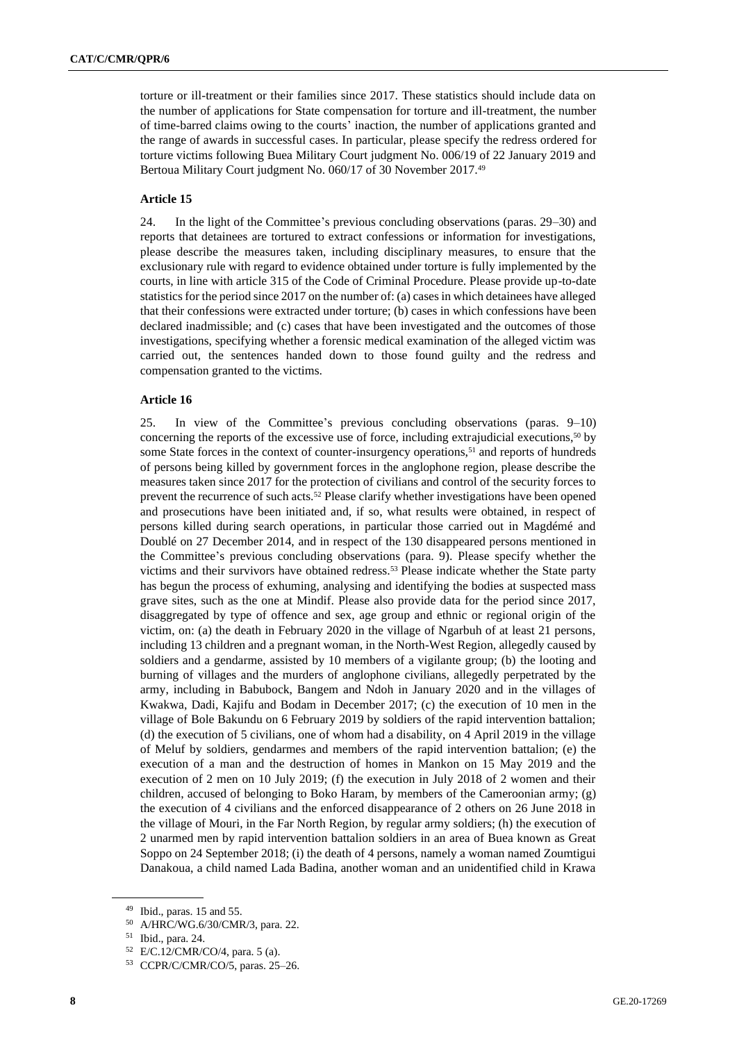torture or ill-treatment or their families since 2017. These statistics should include data on the number of applications for State compensation for torture and ill-treatment, the number of time-barred claims owing to the courts' inaction, the number of applications granted and the range of awards in successful cases. In particular, please specify the redress ordered for torture victims following Buea Military Court judgment No. 006/19 of 22 January 2019 and Bertoua Military Court judgment No. 060/17 of 30 November 2017.<sup>49</sup>

### **Article 15**

24. In the light of the Committee's previous concluding observations (paras. 29–30) and reports that detainees are tortured to extract confessions or information for investigations, please describe the measures taken, including disciplinary measures, to ensure that the exclusionary rule with regard to evidence obtained under torture is fully implemented by the courts, in line with article 315 of the Code of Criminal Procedure. Please provide up-to-date statistics for the period since 2017 on the number of: (a) cases in which detainees have alleged that their confessions were extracted under torture; (b) cases in which confessions have been declared inadmissible; and (c) cases that have been investigated and the outcomes of those investigations, specifying whether a forensic medical examination of the alleged victim was carried out, the sentences handed down to those found guilty and the redress and compensation granted to the victims.

#### **Article 16**

25. In view of the Committee's previous concluding observations (paras. 9–10) concerning the reports of the excessive use of force, including extrajudicial executions, $50$  by some State forces in the context of counter-insurgency operations,<sup>51</sup> and reports of hundreds of persons being killed by government forces in the anglophone region, please describe the measures taken since 2017 for the protection of civilians and control of the security forces to prevent the recurrence of such acts.<sup>52</sup> Please clarify whether investigations have been opened and prosecutions have been initiated and, if so, what results were obtained, in respect of persons killed during search operations, in particular those carried out in Magdémé and Doublé on 27 December 2014, and in respect of the 130 disappeared persons mentioned in the Committee's previous concluding observations (para. 9). Please specify whether the victims and their survivors have obtained redress.<sup>53</sup> Please indicate whether the State party has begun the process of exhuming, analysing and identifying the bodies at suspected mass grave sites, such as the one at Mindif. Please also provide data for the period since 2017, disaggregated by type of offence and sex, age group and ethnic or regional origin of the victim, on: (a) the death in February 2020 in the village of Ngarbuh of at least 21 persons, including 13 children and a pregnant woman, in the North-West Region, allegedly caused by soldiers and a gendarme, assisted by 10 members of a vigilante group; (b) the looting and burning of villages and the murders of anglophone civilians, allegedly perpetrated by the army, including in Babubock, Bangem and Ndoh in January 2020 and in the villages of Kwakwa, Dadi, Kajifu and Bodam in December 2017; (c) the execution of 10 men in the village of Bole Bakundu on 6 February 2019 by soldiers of the rapid intervention battalion; (d) the execution of 5 civilians, one of whom had a disability, on 4 April 2019 in the village of Meluf by soldiers, gendarmes and members of the rapid intervention battalion; (e) the execution of a man and the destruction of homes in Mankon on 15 May 2019 and the execution of 2 men on 10 July 2019; (f) the execution in July 2018 of 2 women and their children, accused of belonging to Boko Haram, by members of the Cameroonian army; (g) the execution of 4 civilians and the enforced disappearance of 2 others on 26 June 2018 in the village of Mouri, in the Far North Region, by regular army soldiers; (h) the execution of 2 unarmed men by rapid intervention battalion soldiers in an area of Buea known as Great Soppo on 24 September 2018; (i) the death of 4 persons, namely a woman named Zoumtigui Danakoua, a child named Lada Badina, another woman and an unidentified child in Krawa

<sup>49</sup> Ibid., paras. 15 and 55.

<sup>50</sup> A/HRC/WG.6/30/CMR/3, para. 22.

<sup>51</sup> Ibid., para. 24.

<sup>52</sup> E/C.12/CMR/CO/4, para. 5 (a).

<sup>53</sup> CCPR/C/CMR/CO/5, paras. 25–26.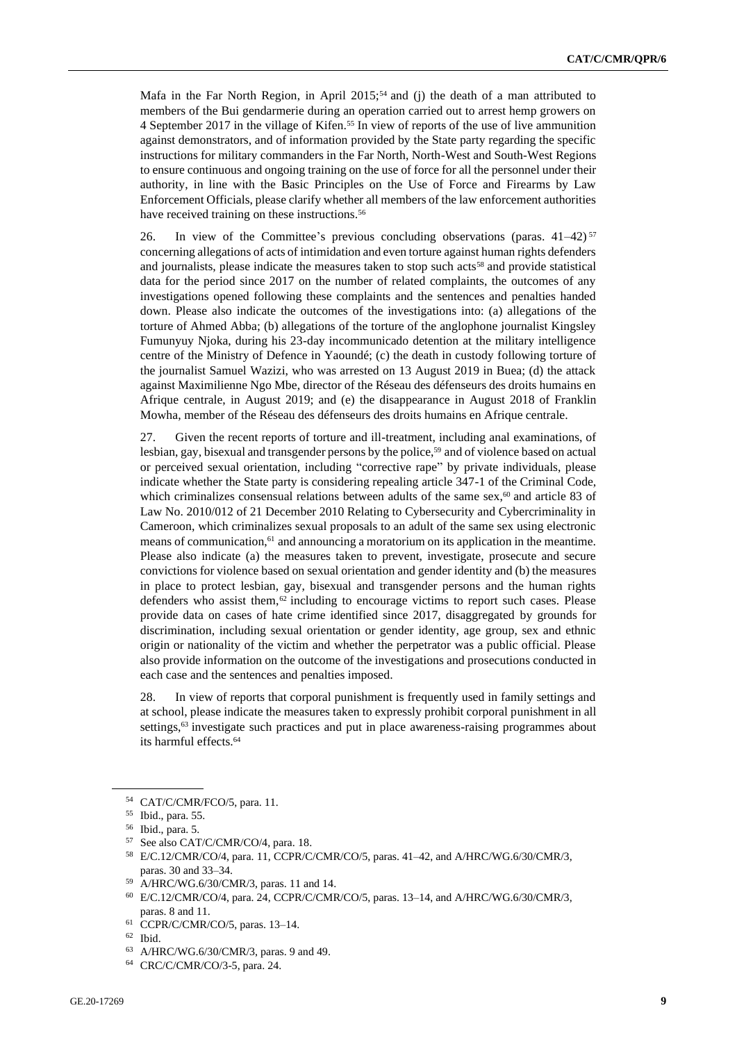Mafa in the Far North Region, in April 2015;<sup>54</sup> and (j) the death of a man attributed to members of the Bui gendarmerie during an operation carried out to arrest hemp growers on 4 September 2017 in the village of Kifen.<sup>55</sup> In view of reports of the use of live ammunition against demonstrators, and of information provided by the State party regarding the specific instructions for military commanders in the Far North, North-West and South-West Regions to ensure continuous and ongoing training on the use of force for all the personnel under their authority, in line with the Basic Principles on the Use of Force and Firearms by Law Enforcement Officials, please clarify whether all members of the law enforcement authorities have received training on these instructions.<sup>56</sup>

26. In view of the Committee's previous concluding observations (paras.  $41-42$ )<sup>57</sup> concerning allegations of acts of intimidation and even torture against human rights defenders and journalists, please indicate the measures taken to stop such acts<sup>58</sup> and provide statistical data for the period since 2017 on the number of related complaints, the outcomes of any investigations opened following these complaints and the sentences and penalties handed down. Please also indicate the outcomes of the investigations into: (a) allegations of the torture of Ahmed Abba; (b) allegations of the torture of the anglophone journalist Kingsley Fumunyuy Njoka, during his 23-day incommunicado detention at the military intelligence centre of the Ministry of Defence in Yaoundé; (c) the death in custody following torture of the journalist Samuel Wazizi, who was arrested on 13 August 2019 in Buea; (d) the attack against Maximilienne Ngo Mbe, director of the Réseau des défenseurs des droits humains en Afrique centrale, in August 2019; and (e) the disappearance in August 2018 of Franklin Mowha, member of the Réseau des défenseurs des droits humains en Afrique centrale.

27. Given the recent reports of torture and ill-treatment, including anal examinations, of lesbian, gay, bisexual and transgender persons by the police,<sup>59</sup> and of violence based on actual or perceived sexual orientation, including "corrective rape" by private individuals, please indicate whether the State party is considering repealing article 347-1 of the Criminal Code, which criminalizes consensual relations between adults of the same sex, $60$  and article 83 of Law No. 2010/012 of 21 December 2010 Relating to Cybersecurity and Cybercriminality in Cameroon, which criminalizes sexual proposals to an adult of the same sex using electronic means of communication,<sup>61</sup> and announcing a moratorium on its application in the meantime. Please also indicate (a) the measures taken to prevent, investigate, prosecute and secure convictions for violence based on sexual orientation and gender identity and (b) the measures in place to protect lesbian, gay, bisexual and transgender persons and the human rights defenders who assist them, $62$  including to encourage victims to report such cases. Please provide data on cases of hate crime identified since 2017, disaggregated by grounds for discrimination, including sexual orientation or gender identity, age group, sex and ethnic origin or nationality of the victim and whether the perpetrator was a public official. Please also provide information on the outcome of the investigations and prosecutions conducted in each case and the sentences and penalties imposed.

28. In view of reports that corporal punishment is frequently used in family settings and at school, please indicate the measures taken to expressly prohibit corporal punishment in all settings,<sup>63</sup> investigate such practices and put in place awareness-raising programmes about its harmful effects.<sup>64</sup>

<sup>54</sup> CAT/C/CMR/FCO/5, para. 11.

<sup>55</sup> Ibid., para. 55.

<sup>56</sup> Ibid., para. 5.

<sup>57</sup> See also CAT/C/CMR/CO/4, para. 18.

<sup>58</sup> E/C.12/CMR/CO/4, para. 11, CCPR/C/CMR/CO/5, paras. 41–42, and A/HRC/WG.6/30/CMR/3, paras. 30 and 33–34.

<sup>59</sup> A/HRC/WG.6/30/CMR/3, paras. 11 and 14.

<sup>60</sup> E/C.12/CMR/CO/4, para. 24, CCPR/C/CMR/CO/5, paras. 13–14, and A/HRC/WG.6/30/CMR/3, paras. 8 and 11.

<sup>61</sup> CCPR/C/CMR/CO/5, paras. 13–14.

<sup>62</sup> Ibid.

<sup>63</sup> A/HRC/WG.6/30/CMR/3, paras. 9 and 49.

<sup>64</sup> CRC/C/CMR/CO/3-5, para. 24.